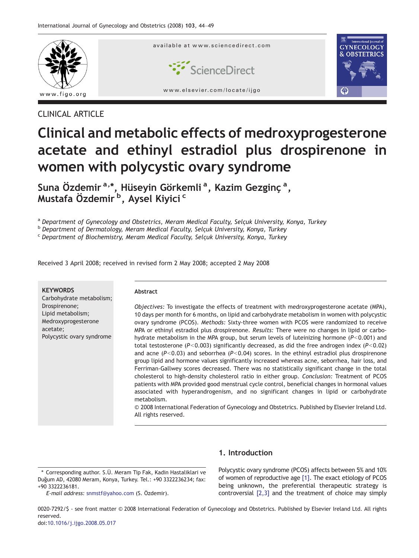

## CLINICAL ARTICLE

# Clinical and metabolic effects of medroxyprogesterone acetate and ethinyl estradiol plus drospirenone in women with polycystic ovary syndrome

Suna Özdemir<sup>a,\*</sup>, Hüseyin Görkemli<sup>a</sup>, Kazim Gezginç<sup>a</sup>, Mustafa Özdemir<sup>'b</sup>, Aysel Kiyici <sup>c</sup>

a Department of Gynecology and Obstetrics, Meram Medical Faculty, Selçuk University, Konya, Turkey

<sup>b</sup> Department of Dermatology, Meram Medical Faculty, Selçuk University, Konya, Turkey

<sup>c</sup> Department of Biochemistry, Meram Medical Faculty, Selçuk University, Konya, Turkey

Received 3 April 2008; received in revised form 2 May 2008; accepted 2 May 2008

| <b>KEYWORDS</b><br>Carbohydrate metabolism;                                                        | Abstract                                                                                                                                                                                                                                                                                                                                                                                                                                                                                                                                                                                                                                                                                                                                                                                                                                                                                                                                                                                                                                                                                                                                                                                                                         |
|----------------------------------------------------------------------------------------------------|----------------------------------------------------------------------------------------------------------------------------------------------------------------------------------------------------------------------------------------------------------------------------------------------------------------------------------------------------------------------------------------------------------------------------------------------------------------------------------------------------------------------------------------------------------------------------------------------------------------------------------------------------------------------------------------------------------------------------------------------------------------------------------------------------------------------------------------------------------------------------------------------------------------------------------------------------------------------------------------------------------------------------------------------------------------------------------------------------------------------------------------------------------------------------------------------------------------------------------|
| Drospirenone;<br>Lipid metabolism;<br>Medroxyprogesterone<br>acetate;<br>Polycystic ovary syndrome | Objectives: To investigate the effects of treatment with medroxyprogesterone acetate (MPA).<br>10 days per month for 6 months, on lipid and carbohydrate metabolism in women with polycystic<br>ovary syndrome (PCOS). Methods: Sixty-three women with PCOS were randomized to receive<br>MPA or ethinyl estradiol plus drospirenone. Results: There were no changes in lipid or carbo-<br>hydrate metabolism in the MPA group, but serum levels of luteinizing hormone ( $P < 0.001$ ) and<br>total testosterone ( $P < 0.003$ ) significantly decreased, as did the free androgen index ( $P < 0.02$ )<br>and acne ( $P < 0.03$ ) and seborrhea ( $P < 0.04$ ) scores. In the ethinyl estradiol plus drospirenone<br>group lipid and hormone values significantly increased whereas acne, seborrhea, hair loss, and<br>Ferriman-Gallwey scores decreased. There was no statistically significant change in the total<br>cholesterol to high-density cholesterol ratio in either group. Conclusion: Treatment of PCOS<br>patients with MPA provided good menstrual cycle control, beneficial changes in hormonal values<br>associated with hyperandrogenism, and no significant changes in lipid or carbohydrate<br>metabolism. |
|                                                                                                    | © 2008 International Federation of Gynecology and Obstetrics. Published by Elsevier Ireland Ltd.<br>All rights reserved.                                                                                                                                                                                                                                                                                                                                                                                                                                                                                                                                                                                                                                                                                                                                                                                                                                                                                                                                                                                                                                                                                                         |

⁎ Corresponding author. S.Ü. Meram Tip Fak, Kadin Hastaliklari ve Duğum AD, 42080 Meram, Konya, Turkey. Tel.: +90 3322236234; fax: +90 3322236181.

E-mail address: [snmstf@yahoo.com](mailto:snmstf@yahoo.com) (S. Özdemir).

## 1. Introduction

Polycystic ovary syndrome (PCOS) affects between 5% and 10% of women of reproductive age [\[1\]](#page-5-0). The exact etiology of PCOS being unknown, the preferential therapeutic strategy is controversial [\[2,3\]](#page-5-0) and the treatment of choice may simply

0020-7292/\$ - see front matter © 2008 International Federation of Gynecology and Obstetrics. Published by Elsevier Ireland Ltd. All rights reserved.

## doi:[10.1016/j.ijgo.2008.05.017](http://dx.doi.org/10.1016/j.ijgo.2008.05.017)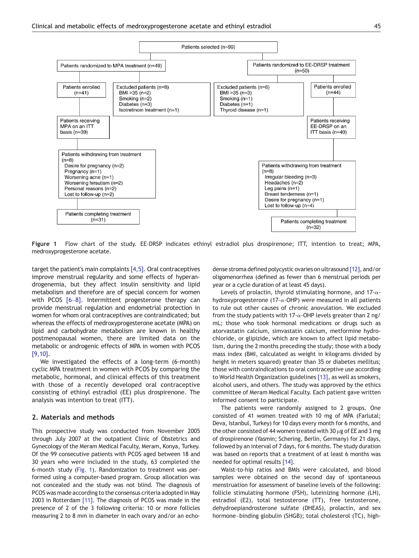<span id="page-1-0"></span>

Figure 1 Flow chart of the study. EE-DRSP indicates ethinyl estradiol plus drospirenone; ITT, intention to treat; MPA, medroxyprogesterone acetate.

target the patient's main complaints  $[4,5]$ . Oral contraceptives improve menstrual regularity and some effects of hyperandrogenemia, but they affect insulin sensitivity and lipid metabolism and therefore are of special concern for women with PCOS [\[6](#page-5-0)-8]. Intermittent progesterone therapy can provide menstrual regulation and endometrial protection in women for whom oral contraceptives are contraindicated; but whereas the effects of medroxyprogesterone acetate (MPA) on lipid and carbohydrate metabolism are known in healthy postmenopausal women, there are limited data on the metabolic or androgenic effects of MPA in women with PCOS [\[9,10\]](#page-5-0).

We investigated the effects of a long-term (6-month) cyclic MPA treatment in women with PCOS by comparing the metabolic, hormonal, and clinical effects of this treatment with those of a recently developed oral contraceptive consisting of ethinyl estradiol (EE) plus drospirenone. The analysis was intention to treat (ITT).

#### 2. Materials and methods

This prospective study was conducted from November 2005 through July 2007 at the outpatient Clinic of Obstetrics and Gynecology of the Meram Medical Faculty, Meram, Konya, Turkey. Of the 99 consecutive patients with PCOS aged between 18 and 30 years who were included in the study, 63 completed the 6-month study (Fig. 1). Randomization to treatment was performed using a computer-based program. Group allocation was not concealed and the study was not blind. The diagnosis of PCOS was made according to the consensus criteria adopted in May 2003 in Rotterdam [\[11\].](#page-5-0) The diagnosis of PCOS was made in the presence of 2 of the 3 following criteria: 10 or more follicles measuring 2 to 8 mm in diameter in each ovary and/or an echodense stroma defined polycystic ovaries on ultrasound [\[12\],](#page-5-0) and/or oligomenorrhea (defined as fewer than 6 menstrual periods per year or a cycle duration of at least 45 days).

Levels of prolactin, thyroid stimulating hormone, and 17-αhydroxyprogesterone (17-α-OHP) were measured in all patients to rule out other causes of chronic anovulation. We excluded from the study patients with 17- $\alpha$ -OHP levels greater than 2 ng/ mL; those who took hormonal medications or drugs such as atorvastatin calcium, simvastatin calcium, metformine hydrochloride, or glipizide, which are known to affect lipid metabolism, during the 2 months preceding the study; those with a body mass index (BMI, calculated as weight in kilograms divided by height in meters squared) greater than 35 or diabetes mellitus; those with contraindications to oral contraceptive use according to World Health Organization guidelines [\[13\]](#page-5-0), as well as smokers, alcohol users, and others. The study was approved by the ethics committee of Meram Medical Faculty. Each patient gave written informed consent to participate.

The patients were randomly assigned to 2 groups. One consisted of 41 women treated with 10 mg of MPA (Farlutal; Deva, Istanbul, Turkey) for 10 days every month for 6 months, and the other consisted of 44 women treated with 30  $\mu$ g of EE and 3 mg of drospirenone (Yasmin; Schering, Berlin, Germany) for 21 days, followed by an interval of 7 days, for 6 months. The study duration was based on reports that a treatment of at least 6 months was needed for optimal results [\[14\]](#page-5-0).

Waist-to-hip ratios and BMIs were calculated, and blood samples were obtained on the second day of spontaneous menstruation for assessment of baseline levels of the following: follicle stimulating hormone (FSH), luteinizing hormone (LH), estradiol (E2), total testosterone (TT), free testosterone, dehydroepiandrosterone sulfate (DHEAS), prolactin, and sex hormone–binding globulin (SHGB); total cholesterol (TC), high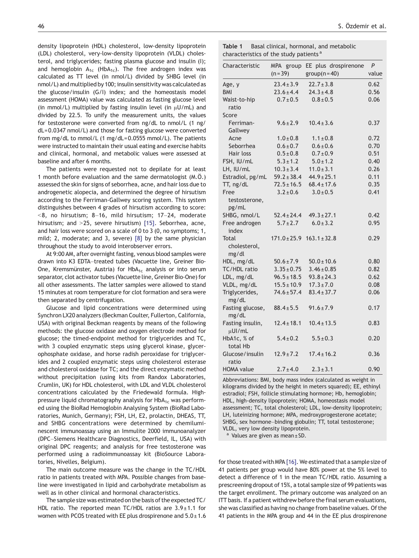<span id="page-2-0"></span>density lipoprotein (HDL) cholesterol, low-density lipoprotein (LDL) cholesterol, very-low-density lipoprotein (VLDL) cholesterol, and triglycerides; fasting plasma glucose and insulin (I); and hemoglobin  $A_{1c}$  (HbA<sub>1c</sub>). The free androgen index was calculated as TT level (in nmol/L) divided by SHBG level (in nmol/L) and multiplied by 100; insulin sensitivity was calculated as the glucose/insulin (G/I) index; and the homeostasis model assessment (HOMA) value was calculated as fasting glucose level (in mmol/L) multiplied by fasting insulin level (in  $\mu$ U/mL) and divided by 22.5. To unify the measurement units, the values for testosterone were converted from ng/dL to nmol/L (1 ng/ dL= 0.0347 nmol/L) and those for fasting glucose were converted from mg/dL to mmol/L (1 mg/dL= 0.0555 mmol/L). The patients were instructed to maintain their usual eating and exercise habits and clinical, hormonal, and metabolic values were assessed at baseline and after 6 months.

The patients were requested not to depilate for at least 1 month before evaluation and the same dermatologist (M.Ö.) assessed the skin for signs of seborrhea, acne, and hair loss due to androgenetic alopecia, and determined the degree of hirsutism according to the Ferriman-Gallwey scoring system. This system distinguishes between 4 grades of hirsutism according to score:  $<$ 8, no hirsutism; 8–16, mild hirsutism; 17–24, moderate hirsutism; and  $>25$ , severe hirsutism) [\[15\].](#page-5-0) Seborrhea, acne, and hair loss were scored on a scale of 0 to 3 (0, no symptoms; 1, mild; 2, moderate; and 3, severe) [\[8\]](#page-5-0) by the same physician throughout the study to avoid interobserver errors.

At 9:00 AM, after overnight fasting, venous blood samples were drawn into K3 EDTA–treated tubes (Vacuette line, Greiner Bio-One, Kremsmünster, Austria) for  $HbA_{1c}$  analysis or into serum separator, clot activator tubes (Vacuette line, Greiner Bio-One) for all other assessments. The latter samples were allowed to stand 15 minutes at room temperature for clot formation and sera were then separated by centrifugation.

Glucose and lipid concentrations were determined using Synchron LX20 analyzers (Beckman Coulter, Fullerton, California, USA) with original Beckman reagents by means of the following methods: the glucose oxidase and oxygen electrode method for glucose; the timed-endpoint method for triglycerides and TC, with 3 coupled enzymatic steps using glycerol kinase, glycerophosphate oxidase, and horse radish peroxidase for triglycerides and 2 coupled enzymatic steps using cholesterol esterase and cholesterol oxidase for TC; and the direct enzymatic method without precipitation (using kits from Randox Laboratories, Crumlin, UK) for HDL cholesterol, with LDL and VLDL cholesterol concentrations calculated by the Friedewald formula. Highpressure liquid chromatography analysis for  $HbA_{1c}$  was performed using the BioRad Hemoglobin Analysing System (BioRad Laboratories, Munich, Germany); FSH, LH, E2, prolactin, DHEAS, TT, and SHBG concentrations were determined by chemiluminescent immunoassay using an Immulite 2000 immunoanalyzer (DPC–Siemens Healthcare Diagnostics, Deerfield, IL, USA) with original DPC reagents; and analysis for free testosterone was performed using a radioimmunoassay kit (BioSource Laboratories, Nivelles, Belgium).

The main outcome measure was the change in the TC/HDL ratio in patients treated with MPA. Possible changes from baseline were investigated in lipid and carbohydrate metabolism as well as in other clinical and hormonal characteristics.

The sample size was estimated on the basis of the expected TC/ HDL ratio. The reported mean TC/HDL ratios are  $3.9 \pm 1.1$  for women with PCOS treated with EE plus drospirenone and  $5.0 \pm 1.6$ 

| Table 1 | Basal clinical, hormonal, and metabolic            |
|---------|----------------------------------------------------|
|         | characteristics of the study patients <sup>a</sup> |

| Characteristic                  | MPA group       | EE plus drospirenone              | P     |
|---------------------------------|-----------------|-----------------------------------|-------|
|                                 | $(n=39)$        | $group(n=40)$                     | value |
| Age, y                          | $23.4 \pm 3.9$  | $22.7 \pm 3.8$                    | 0.62  |
| <b>BMI</b>                      | $23.6 \pm 4.4$  | $24.3 \pm 4.8$                    | 0.56  |
| Waist-to-hip<br>ratio           | $0.7 \pm 0.5$   | $0.8 \pm 0.5$                     | 0.06  |
| Score                           |                 |                                   |       |
| Ferriman-<br>Gallwey            | $9.6 \pm 2.9$   | $10.4 \pm 3.6$                    | 0.37  |
| Acne                            | $1.0 \pm 0.8$   | $1.1 \pm 0.8$                     | 0.72  |
| Seborrhea                       | $0.6 \pm 0.7$   | $0.6 \pm 0.6$                     | 0.70  |
| Hair loss                       | $0.5 \pm 0.8$   | $0.7 \pm 0.9$                     | 0.51  |
| FSH, IU/mL                      | $5.3 \pm 1.2$   | $5.0 \pm 1.2$                     | 0.40  |
| LH, IU/mL                       | $10.3 \pm 3.4$  | $11.0 \pm 3.1$                    | 0.26  |
| Estradiol, pg/mL                | $59.2 \pm 38.4$ | $44.9 \pm 25.1$                   | 0.11  |
| TT, ng/dL                       | $72.5 \pm 16.5$ | $68.4 \pm 17.6$                   | 0.35  |
| Free                            | $3.2 \pm 0.6$   | $3.0 \pm 0.5$                     | 0.41  |
| testosterone,<br>pg/mL          |                 |                                   |       |
| SHBG, nmol/L                    | $52.4 \pm 24.4$ | $49.3 \pm 27.1$                   | 0.42  |
| Free androgen<br>index          | $5.7 \pm 2.7$   | $6.0 \pm 3.2$                     | 0.95  |
| Total<br>cholesterol,<br>mg/dl  |                 | $171.0 \pm 25.9$ $163.1 \pm 32.8$ | 0.29  |
| HDL, mg/dL                      | $50.6 \pm 7.9$  | $50.0 \pm 10.6$                   | 0.80  |
| TC/HDL ratio                    | $3.35 \pm 0.75$ | $3.46 \pm 0.85$                   | 0.82  |
| LDL, mg/dL                      | $96.5 \pm 18.5$ | $93.8 \pm 24.3$                   | 0.62  |
| VLDL, mg/dL                     | $15.5 \pm 10.9$ | $17.3 \pm 7.0$                    | 0.08  |
| Triglycerides,<br>mg/dL         | $74.6 \pm 57.4$ | $83.4 \pm 37.7$                   | 0.06  |
| Fasting glucose,<br>mg/dL       | $88.4 \pm 5.5$  | $91.6 \pm 7.9$                    | 0.17  |
| Fasting insulin,<br>$\mu$ UI/mL | $12.4 \pm 18.1$ | $10.4 \pm 13.5$                   | 0.83  |
| HbA1c, % of<br>total Hb         | $5.4 \pm 0.2$   | $5.5 \pm 0.3$                     | 0.20  |
| Glucose/insulin<br>ratio        | $12.9 \pm 7.2$  | $17.4 \pm 16.2$                   | 0.36  |
| <b>HOMA</b> value               | $2.7 \pm 4.0$   | $2.3 \pm 3.1$                     | 0.90  |

Abbreviations: BMI, body mass index (calculated as weight in kilograms divided by the height in meters squared); EE, ethinyl estradiol; FSH, follicle stimulating hormone; Hb, hemoglobin; HDL, high-density lipoprotein; HOMA, homeostasis model assessment; TC, total cholesterol; LDL, low-density lipoprotein; LH, luteinizing hormone; MPA, medroxyprogesterone acetate; SHBG, sex hormone–binding globulin; TT, total testosterone; VLDL, very low density lipoprotein.

Values are given as mean  $\pm$  SD.

for those treated with MPA [\[16\].](#page-5-0) We estimated that a sample size of 41 patients per group would have 80% power at the 5% level to detect a difference of 1 in the mean TC/HDL ratio. Assuming a prescreening dropout of 15%, a total sample size of 99 patients was the target enrollment. The primary outcome was analyzed on an ITT basis. If a patient withdrew before the final serum evaluations, she was classified as having no change from baseline values. Of the 41 patients in the MPA group and 44 in the EE plus drospirenone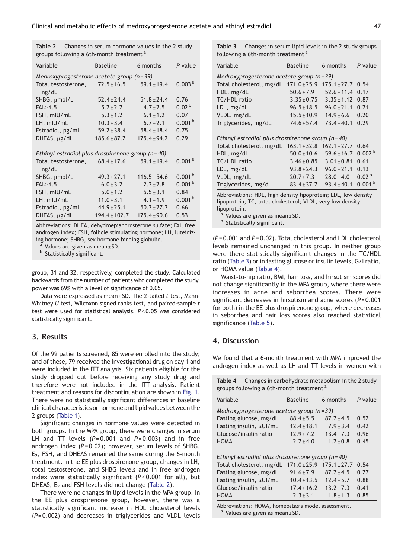Table 2 Changes in serum hormone values in the 2 study groups following a 6th-month treatment<sup>a</sup>

| Variable                                                     | <b>Baseline</b>   | 6 months         | P value            |  |  |
|--------------------------------------------------------------|-------------------|------------------|--------------------|--|--|
| Medroxyprogesterone acetate group $(n=39)$                   |                   |                  |                    |  |  |
| Total testosterone,<br>ng/dL                                 | $72.5 \pm 16.5$   | $59.1 \pm 19.4$  | 0.003 <sup>b</sup> |  |  |
| SHBG, umol/L                                                 | $52.4 \pm 24.4$   | $51.8 \pm 24.4$  | 0.76               |  |  |
| $FA$ $>$ 4.5                                                 | $5.7 \pm 2.7$     | $4.7 \pm 2.5$    | 0.02 <sup>b</sup>  |  |  |
| FSH, mIU/mL                                                  | $5.3 \pm 1.2$     | $6.1 \pm 1.2$    | 0.07               |  |  |
| LH, mIU/mL                                                   | $10.3 \pm 3.4$    | $6.7 \pm 2.1$    | 0.001 <sup>b</sup> |  |  |
| Estradiol, pg/mL                                             | $59.2 \pm 38.4$   | $58.4 \pm 18.4$  | 0.75               |  |  |
| $DHEAS, \mu g/dL$                                            | $185.6 \pm 87.2$  | $175.4 \pm 94.2$ | 0.29               |  |  |
| Ethinyl estradiol plus drospirenone group $(n=40)$           |                   |                  |                    |  |  |
| Total testosterone, $68.4 \pm 17.6$ 59.1 $\pm$ 19.4<br>ng/dL |                   |                  | 0.001 <sup>b</sup> |  |  |
| SHBG, µmol/L                                                 | $49.3 \pm 27.1$   | $116.5 \pm 54.6$ | 0.001 <sup>b</sup> |  |  |
| $FA$ $>$ 4.5                                                 | $6.0 \pm 3.2$     | $2.3 \pm 2.8$    | 0.001 <sup>b</sup> |  |  |
| FSH, mIU/mL                                                  | $5.0 \pm 1.2$     | $5.5 \pm 3.1$    | 0.84               |  |  |
| LH, mIU/mL                                                   | $11.0 \pm 3.1$    | $4.1 \pm 1.9$    | 0.001 <sup>b</sup> |  |  |
| Estradiol, pg/mL                                             | $44.9 \pm 25.1$   | $50.3 \pm 27.3$  | 0.66               |  |  |
| $DHEAS, \mu g/dL$                                            | $194.4 \pm 102.7$ | $175.4 \pm 90.6$ | 0.53               |  |  |

Abbreviations: DHEA, dehydroepiandrosterone sulfate; FAI, free androgen index; FSH, follicle stimulating hormone; LH, luteinizing hormone; SHBG, sex hormone binding globulin.

<sup>a</sup> Values are given as mean  $\pm$  SD.

**b** Statistically significant.

group, 31 and 32, respectively, completed the study. Calculated backwards from the number of patients who completed the study, power was 69% with a level of significance of 0.05.

Data were expressed as mean $\pm$ SD. The 2-tailed t test, Mann-Whitney  $U$  test, Wilcoxon signed ranks test, and paired-sample  $t$ test were used for statistical analysis.  $P<0.05$  was considered statistically significant.

### 3. Results

Of the 99 patients screened, 85 were enrolled into the study; and of these, 79 received the investigational drug on day 1 and were included in the ITT analysis. Six patients eligible for the study dropped out before receiving any study drug and therefore were not included in the ITT analysis. Patient treatment and reasons for discontinuation are shown in [Fig. 1](#page-1-0). There were no statistically significant differences in baseline clinical characteristics or hormone and lipid values between the 2 groups [\(Table 1](#page-2-0)).

Significant changes in hormone values were detected in both groups. In the MPA group, there were changes in serum LH and TT levels  $(P= 0.001$  and  $P= 0.003$ ) and in free androgen index  $(P= 0.02)$ ; however, serum levels of SHBG,  $E<sub>2</sub>$ , FSH, and DHEAS remained the same during the 6-month treatment. In the EE plus drospirenone group, changes in LH, total testosterone, and SHBG levels and in free androgen index were statistically significant ( $P<0.001$  for all), but DHEAS,  $E_2$  and FSH levels did not change (Table 2).

There were no changes in lipid levels in the MPA group. In the EE plus drospirenone group, however, there was a statistically significant increase in HDL cholesterol levels (P= 0.002) and decreases in triglycerides and VLDL levels

Table 3 Changes in serum lipid levels in the 2 study groups following a 6th-month treatment<sup>a</sup>

| Variable                                           | <b>Baseline</b> | 6 months         | P value            |  |  |
|----------------------------------------------------|-----------------|------------------|--------------------|--|--|
| Medroxyprogesterone acetate group $(n=39)$         |                 |                  |                    |  |  |
| Total cholesterol, mg/dL $171.0 \pm 25.9$          |                 | $175.1 \pm 27.7$ | 0.54               |  |  |
| HDL, mg/dL                                         | $50.6 \pm 7.9$  | $52.6 \pm 11.4$  | 0.17               |  |  |
| TC/HDL ratio                                       | $3.35 \pm 0.75$ | $3,35 \pm 1.12$  | 0.87               |  |  |
| LDL, mg/dL                                         | $96.5 \pm 18.5$ | $96.0 \pm 21.1$  | 0.71               |  |  |
| VLDL, mg/dL                                        | $15.5 \pm 10.9$ | $14.9 \pm 6.6$   | 0.20               |  |  |
| Triglycerides, mg/dL                               | $74.6 \pm 57.4$ | $73.4 \pm 40.1$  | 0.29               |  |  |
| Ethinyl estradiol plus drospirenone group $(n=40)$ |                 |                  |                    |  |  |
| Total cholesterol, mg/dL $163.1 \pm 32.8$          |                 | $162.1 \pm 27.7$ | 0.64               |  |  |
| HDL, mg/dL                                         | $50.0 \pm 10.6$ | $59.6 \pm 16.7$  | 0.002 <sup>b</sup> |  |  |
| TC/HDL ratio                                       | $3.46 \pm 0.85$ | $3.01 \pm 0.81$  | 0.61               |  |  |
| LDL, mg/dL                                         | $93.8 \pm 24.3$ | $96.0 \pm 21.1$  | 0.13               |  |  |
| VLDL, mg/dL                                        | $20.7 \pm 7.3$  | $28.0 \pm 4.0$   | 0.02 <sup>b</sup>  |  |  |
| Triglycerides, mg/dL                               | $83.4 \pm 37.7$ | $93.4 \pm 40.1$  | 0.001 <sup>b</sup> |  |  |

Abbreviations: HDL, high density lipoprotein; LDL, low density lipoprotein; TC, total cholesterol; VLDL, very low density lipoprotein.

<sup>a</sup> Values are given as mean  $\pm$  SD.<br><sup>b</sup> Statistically significant.

 $(P= 0.001$  and  $P= 0.02$ ). Total cholesterol and LDL cholesterol levels remained unchanged in this group. In neither group were there statistically significant changes in the TC/HDL ratio (Table 3) or in fasting glucose or insulin levels, G/I ratio, or HOMA value (Table 4).

Waist-to-hip ratio, BMI, hair loss, and hirsutism scores did not change significantly in the MPA group, where there were increases in acne and seborrhea scores. There were significant decreases in hirsutism and acne scores  $(P= 0.001)$ for both) in the EE plus drospirenone group, where decreases in seborrhea and hair loss scores also reached statistical significance [\(Table 5\)](#page-4-0).

## 4. Discussion

We found that a 6-month treatment with MPA improved the androgen index as well as LH and TT levels in women with

Table 4 Changes in carbohydrate metabolism in the 2 study

| groups following a 6th-month treatment <sup>a</sup> |                  |                  |         |  |
|-----------------------------------------------------|------------------|------------------|---------|--|
| Variable                                            | <b>Baseline</b>  | 6 months         | P value |  |
| Medroxyprogesterone acetate group $(n=39)$          |                  |                  |         |  |
| Fasting glucose, mg/dL                              | $88.4 \pm 5.5$   | $87.7 \pm 4.5$   | 0.52    |  |
| Fasting insulin, $\mu$ UI/mL                        | $12.4 \pm 18.1$  | $7.9 \pm 3.4$    | 0.42    |  |
| Glucose/insulin ratio                               | $12.9 \pm 7.2$   | $13.4 \pm 7.3$   | 0.96    |  |
| <b>HOMA</b>                                         | $2.7 \pm 4.0$    | $1.7 \pm 0.8$    | 0.45    |  |
| Ethinyl estradiol plus drospirenone group $(n=40)$  |                  |                  |         |  |
| Total cholesterol, mg/dL                            | $171.0 \pm 25.9$ | $175.1 \pm 27.7$ | 0.54    |  |
| Fasting glucose, mg/dL                              | $91.6 \pm 7.9$   | $87.7 \pm 4.5$   | 0.27    |  |
| Fasting insulin, $\mu$ UI/mL                        | $10.4 \pm 13.5$  | $12.4 \pm 5.7$   | 0.88    |  |
| Glucose/insulin ratio                               | $17.4 \pm 16.2$  | $13.2 \pm 7.3$   | 0.41    |  |
| <b>HOMA</b>                                         | $2.3 \pm 3.1$    | $1.8 \pm 1.3$    | 0.85    |  |
| Abbreviations: HOMA, homeostasis model assessment.  |                  |                  |         |  |

<sup>a</sup> Values are given as mean  $\pm$  SD.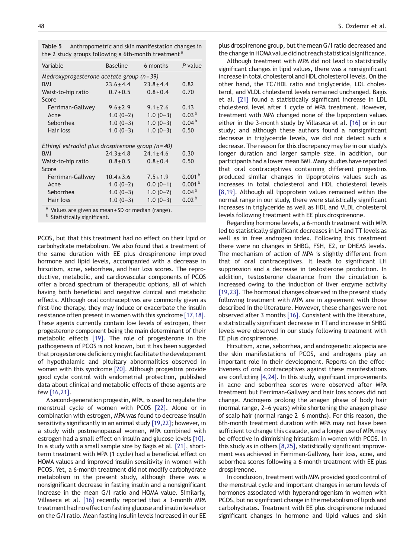<span id="page-4-0"></span>

| Table 5 | Anthropometric and skin manifestation changes in                |  |  |
|---------|-----------------------------------------------------------------|--|--|
|         | the 2 study groups following a 6th-month treatment <sup>a</sup> |  |  |

| Variable                                                     | <b>Baseline</b> | 6 months       | P value            |  |  |
|--------------------------------------------------------------|-----------------|----------------|--------------------|--|--|
| Medroxyprogesterone acetate group $(n=39)$                   |                 |                |                    |  |  |
| <b>BMI</b>                                                   | $23.6 \pm 4.4$  | $23.8 \pm 4.4$ | 0.82               |  |  |
| Waist-to-hip ratio                                           | $0.7 \pm 0.5$   | $0.8 \pm 0.4$  | 0.70               |  |  |
| Score                                                        |                 |                |                    |  |  |
| Ferriman-Gallwey                                             | $9.6 \pm 2.9$   | $9.1 \pm 2.6$  | 0.13               |  |  |
| Acne                                                         | $1.0(0-2)$      | $1.0(0-3)$     | 0.03 <sup>b</sup>  |  |  |
| Seborrhea                                                    | $1.0(0-3)$      | $1.0(0-3)$     | 0.04 <sup>b</sup>  |  |  |
| Hair loss                                                    | $1.0(0-3)$      | $1.0(0-3)$     | 0.50               |  |  |
| Ethinyl estradiol plus drospirenone group $(n=40)$           |                 |                |                    |  |  |
| <b>BMI</b>                                                   | $24.3 \pm 4.8$  | $24.1 \pm 4.6$ | 0.30               |  |  |
| Waist-to-hip ratio                                           | $0.8 \pm 0.5$   | $0.8 \pm 0.4$  | 0.50               |  |  |
| Score                                                        |                 |                |                    |  |  |
| Ferriman-Gallwey                                             | $10.4 \pm 3.6$  | $7.5 \pm 1.9$  | 0.001 <sup>b</sup> |  |  |
| Acne                                                         | $1.0(0-2)$      | $0.0(0-1)$     | 0.001 <sup>b</sup> |  |  |
| Seborrhea                                                    | $1.0(0-3)$      | $1.0(0-2)$     | 0.04 <sup>b</sup>  |  |  |
| Hair loss                                                    | $1.0(0-3)$      | $1.0(0-3)$     | 0.02 <sup>b</sup>  |  |  |
| <sup>a</sup> Values are given as mean + SD or median (range) |                 |                |                    |  |  |

b Statistically significant.

PCOS, but that this treatment had no effect on their lipid or carbohydrate metabolism. We also found that a treatment of the same duration with EE plus drospirenone improved hormone and lipid levels, accompanied with a decrease in hirsutism, acne, seborrhea, and hair loss scores. The reproductive, metabolic, and cardiovascular components of PCOS offer a broad spectrum of therapeutic options, all of which having both beneficial and negative clinical and metabolic effects. Although oral contraceptives are commonly given as first-line therapy, they may induce or exacerbate the insulin resistance often present in women with this syndrome [\[17,18\].](#page-5-0) These agents currently contain low levels of estrogen, their progesterone component being the main determinant of their metabolic effects [\[19\].](#page-5-0) The role of progesterone in the pathogenesis of PCOS is not known, but it has been suggested that progesterone deficiency might facilitate the development of hypothalamic and pituitary abnormalities observed in women with this syndrome [\[20\].](#page-5-0) Although progestins provide good cycle control with endometrial protection, published data about clinical and metabolic effects of these agents are few [\[16,21\].](#page-5-0)

A second-generation progestin, MPA, is used to regulate the menstrual cycle of women with PCOS [\[22\].](#page-5-0) Alone or in combination with estrogen, MPA was found to decrease insulin sensitivity significantly in an animal study [\[19,22\]](#page-5-0); however, in a study with postmenopausal women, MPA combined with estrogen had a small effect on insulin and glucose levels [\[10\].](#page-5-0) In a study with a small sample size by Bagis et al. [\[21\]](#page-5-0), shortterm treatment with MPA (1 cycle) had a beneficial effect on HOMA values and improved insulin sensitivity in women with PCOS. Yet, a 6-month treatment did not modify carbohydrate metabolism in the present study, although there was a nonsignificant decrease in fasting insulin and a nonsignificant increase in the mean G/I ratio and HOMA value. Similarly, Villaseca et al. [\[16\]](#page-5-0) recently reported that a 3-month MPA treatment had no effect on fasting glucose and insulin levels or on the G/I ratio. Mean fasting insulin levels increased in our EE plus drospirenone group, but the mean G/I ratio decreased and the change in HOMAvalue did not reach statistical significance.

Although treatment with MPA did not lead to statistically significant changes in lipid values, there was a nonsignificant increase in total cholesterol and HDL cholesterol levels. On the other hand, the TC/HDL ratio and triglyceride, LDL cholesterol, and VLDL cholesterol levels remained unchanged. Bagis et al. [\[21\]](#page-5-0) found a statistically significant increase in LDL cholesterol level after 1 cycle of MPA treatment. However, treatment with MPA changed none of the lipoprotein values either in the 3-month study by Villaseca et al. [\[16\]](#page-5-0) or in our study; and although these authors found a nonsignificant decrease in triglyceride levels, we did not detect such a decrease. The reason for this discrepancy may lie in our study's longer duration and larger sample size. In addition, our participants had a lower mean BMI. Many studies have reported that oral contraceptives containing different progestins produced similar changes in lipoproteins values such as increases in total cholesterol and HDL cholesterol levels [\[8,19\]](#page-5-0). Although all lipoprotein values remained within the normal range in our study, there were statistically significant increases in triglyceride as well as HDL and VLDL cholesterol levels following treatment with EE plus drospirenone.

Regarding hormone levels, a 6-month treatment with MPA led to statistically significant decreases in LH and TT levels as well as in free androgen index. Following this treatment there were no changes in SHBG, FSH, E2, or DHEAS levels. The mechanism of action of MPA is slightly different from that of oral contraceptives. It leads to significant LH suppression and a decrease in testosterone production. In addition, testosterone clearance from the circulation is increased owing to the induction of liver enzyme activity [\[19,23\]](#page-5-0). The hormonal changes observed in the present study following treatment with MPA are in agreement with those described in the literature. However, these changes were not observed after 3 months [\[16\]](#page-5-0). Consistent with the literature, a statistically significant decrease in TT and increase in SHBG levels were observed in our study following treatment with EE plus drospirenone.

Hirsutism, acne, seborrhea, and androgenetic alopecia are the skin manifestations of PCOS, and androgens play an important role in their development. Reports on the effectiveness of oral contraceptives against these manifestations are conflicting [\[4,24\]](#page-5-0). In this study, significant improvements in acne and seborrhea scores were observed after MPA treatment but Ferriman-Gallwey and hair loss scores did not change. Androgens prolong the anagen phase of body hair (normal range, 2–6 years) while shortening the anagen phase of scalp hair (normal range 2–6 months). For this reason, the 6th-month treatment duration with MPA may not have been sufficient to change this cascade, and a longer use of MPA may be effective in diminishing hirsutism in women with PCOS. In this study as in others [\[8,25\],](#page-5-0) statistically significant improvement was achieved in Ferriman-Gallwey, hair loss, acne, and seborrhea scores following a 6-month treatment with EE plus drospirenone.

In conclusion, treatment with MPA provided good control of the menstrual cycle and important changes in serum levels of hormones associated with hyperandrogenism in women with PCOS, but no significant change in the metabolism of lipids and carbohydrates. Treatment with EE plus drospirenone induced significant changes in hormone and lipid values and skin